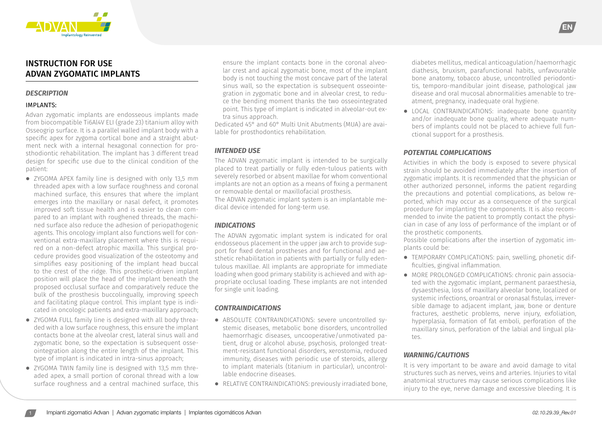

# INSTRUCTION FOR USE ADVAN ZYGOMATIC IMPLANTS

#### *DESCRIPTION*

## IMPLANTS:

Advan zygomatic implants are endosseous implants made from biocompatible Ti6Al4V ELI (grade 23) titanium alloy with Osseogrip surface. It is a parallel walled implant body with a specific apex for zygoma cortical bone and a straight abutment neck with a internal hexagonal connection for prosthodiontic rehabilitation. The implant has 3 different tread design for specific use due to the clinical condition of the patient:

- **⦁** ZYGOMA APEX family line is designed with only 13,5 mm threaded apex with a low surface roughness and coronal machined surface, this ensures that where the implant emerges into the maxillary or nasal defect, it promotes improved soft tissue health and is easier to clean compared to an implant with roughened threads, the machined surface also reduce the adhesion of periopathogenic agents. This oncology implant also functions well for conventional extra-maxillary placement where this is required on a non-defect atrophic maxilla. This surgical procedure provides good visualization of the osteotomy and simplifies easy positioning of the implant head buccal to the crest of the ridge. This prosthetic-driven implant position will place the head of the implant beneath the proposed occlusal surface and comparatively reduce the bulk of the prosthesis buccolingually, improving speech and facilitating plaque control. This implant type is indicated in oncologic patients and extra-maxillary approach;
- **⦁** ZYGOMA FULL family line is designed with all body threaded with a low surface roughness, this ensure the implant contacts bone at the alveolar crest, lateral sinus wall and zygomatic bone, so the expectation is subsequent osseointegration along the entire length of the implant. This type of implant is indicated in intra-sinus approach;
- **⦁** ZYGOMA TWIN family line is designed with 13,5 mm threaded apex, a small portion of coronal thread with a low surface roughness and a central machined surface, this

ensure the implant contacts bone in the coronal alveolar crest and apical zygomatic bone, most of the implant body is not touching the most concave part of the lateral sinus wall, so the expectation is subsequent osseointegration in zygomatic bone and in alveolar crest, to reduce the bending moment thanks the two osseointegrated point. This type of implant is indicated in alveolar-out extra sinus approach.

Dedicated 45° and 60° Multi Unit Abutments (MUA) are available for prosthodontics rehabilitation.

## *INTENDED USE*

The ADVAN zygomatic implant is intended to be surgically placed to treat partially or fully eden-tulous patients with severely resorbed or absent maxillae for whom conventional implants are not an option as a means of fixing a permanent or removable dental or maxillofacial prosthesis.

The ADVAN zygomatic implant system is an implantable medical device intended for long-term use.

# *INDICATIONS*

The ADVAN zygomatic implant system is indicated for oral endosseous placement in the upper jaw arch to provide support for fixed dental prostheses and for functional and aesthetic rehabilitation in patients with partially or fully edentulous maxillae. All implants are appropriate for immediate loading when good primary stability is achieved and with appropriate occlusal loading. These implants are not intended for single unit loading.

# *CONTRAINDICATIONS*

- **⦁** ABSOLUTE CONTRAINDICATIONS: severe uncontrolled systemic diseases, metabolic bone disorders, uncontrolled haemorrhagic diseases, uncooperative/unmotivated patient, drug or alcohol abuse, psychosis, prolonged treatment-resistant functional disorders, xerostomia, reduced immunity, diseases with periodic use of steroids, allergy to implant materials (titanium in particular), uncontrollable endocrine diseases.
- **⦁** RELATIVE CONTRAINDICATIONS: previously irradiated bone,

diabetes mellitus, medical anticoagulation/haemorrhagic diathesis, bruxism, parafunctional habits, unfavourable bone anatomy, tobacco abuse, uncontrolled periodontitis, temporo-mandibular joint disease, pathological jaw disease and oral mucosal abnormalities amenable to treatment, pregnancy, inadequate oral hygiene.

EN

**⦁** LOCAL CONTRAINDICATIONS: inadequate bone quantity and/or inadequate bone quality, where adequate numbers of implants could not be placed to achieve full functional support for a prosthesis.

## *POTENTIAL COMPLICATIONS*

Activities in which the body is exposed to severe physical strain should be avoided immediately after the insertion of zygomatic implants. It is recommended that the physician or other authorized personnel, informs the patient regarding the precautions and potential complications, as below reported, which may occur as a consequence of the surgical procedure for implanting the components. It is also recommended to invite the patient to promptly contact the physician in case of any loss of performance of the implant or of the prosthetic components.

Possible complications after the insertion of zygomatic implants could be:

- **⦁** TEMPORARY COMPLICATIONS: pain, swelling, phonetic difficulties, gingival inflammation.
- **⦁** MORE PROLONGED COMPLICATIONS: chronic pain associated with the zygomatic implant, permanent paraesthesia, dysaesthesia, loss of maxillary alveolar bone, localized or systemic infections, oroantral or oronasal fistulas, irreversible damage to adjacent implant, jaw, bone or denture fractures, aesthetic problems, nerve injury, exfoliation, hyperplasia, formation of fat emboli, perforation of the maxillary sinus, perforation of the labial and lingual plates.

# *WARNING/CAUTIONS*

It is very important to be aware and avoid damage to vital structures such as nerves, veins and arteries. Injuries to vital anatomical structures may cause serious complications like injury to the eye, nerve damage and excessive bleeding. It is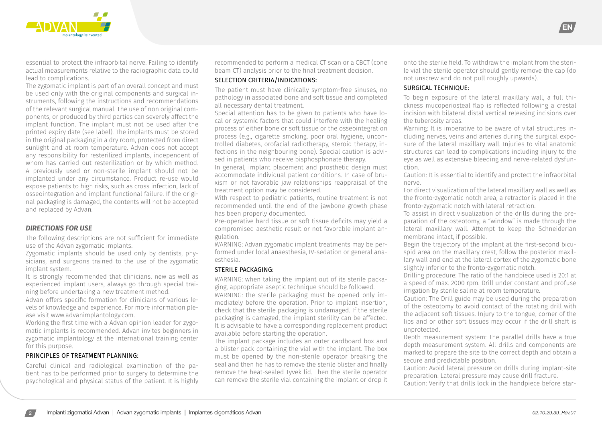

essential to protect the infraorbital nerve. Failing to identify actual measurements relative to the radiographic data could lead to complications.

The zygomatic implant is part of an overall concept and must be used only with the original components and surgical instruments, following the instructions and recommendations of the relevant surgical manual. The use of non original components, or produced by third parties can severely affect the implant function. The implant must not be used after the printed expiry date (see label). The implants must be stored in the original packaging in a dry room, protected from direct sunlight and at room temperature. Advan does not accept any responsibility for resterilized implants, independent of whom has carried out resterilization or by which method. A previously used or non-sterile implant should not be implanted under any circumstance. Product re-use would expose patients to high risks, such as cross infection, lack of osseointegration and implant functional failure. If the original packaging is damaged, the contents will not be accepted and replaced by Advan.

#### *DIRECTIONS FOR USE*

The following descriptions are not sufficient for immediate use of the Advan zygomatic implants.

Zygomatic implants should be used only by dentists, physicians, and surgeons trained to the use of the zygomatic implant system.

It is strongly recommended that clinicians, new as well as experienced implant users, always go through special training before undertaking a new treatment method.

Advan offers specific formation for clinicians of various levels of knowledge and experience. For more information please visit www.advanimplantology.com.

Working the first time with a Advan opinion leader for zygomatic implants is recommended. Advan invites beginners in zygomatic implantology at the international training center for this purpose.

#### PRINCIPLES OF TREATMENT PLANNING:

Careful clinical and radiological examination of the patient has to be performed prior to surgery to determine the psychological and physical status of the patient. It is highly recommended to perform a medical CT scan or a CBCT (cone beam CT) analysis prior to the final treatment decision.

#### SELECTION CRITERIA/INDICATIONS:

The patient must have clinically symptom-free sinuses, no pathology in associated bone and soft tissue and completed all necessary dental treatment.

Special attention has to be given to patients who have local or systemic factors that could interfere with the healing process of either bone or soft tissue or the osseointegration process (e.g., cigarette smoking, poor oral hygiene, uncontrolled diabetes, orofacial radiotherapy, steroid therapy, infections in the neighbouring bone). Special caution is advised in patients who receive bisphosphonate therapy.

In general, implant placement and prosthetic design must accommodate individual patient conditions. In case of bruxism or not favorable jaw relationships reappraisal of the treatment option may be considered.

With respect to pediatric patients, routine treatment is not recommended until the end of the jawbone growth phase has been properly documented.

Pre-operative hard tissue or soft tissue deficits may yield a compromised aesthetic result or not favorable implant angulation.

WARNING: Advan zygomatic implant treatments may be performed under local anaesthesia, IV-sedation or general anaesthesia.

#### STERILE PACKAGING:

WARNING: when taking the implant out of its sterile packaging, appropriate aseptic technique should be followed.

WARNING: the sterile packaging must be opened only immediately before the operation. Prior to implant insertion, check that the sterile packaging is undamaged. If the sterile packaging is damaged, the implant sterility can be affected. It is advisable to have a corresponding replacement product available before starting the operation.

The implant package includes an outer cardboard box and a blister pack containing the vial with the implant. The box must be opened by the non-sterile operator breaking the seal and then he has to remove the sterile blister and finally remove the heat-sealed Tyvek lid. Then the sterile operator can remove the sterile vial containing the implant or drop it

onto the sterile field. To withdraw the implant from the sterile vial the sterile operator should gently remove the cap (do not unscrew and do not pull roughly upwards).

EN

#### SURGICAL TECHNIQUE:

To begin exposure of the lateral maxillary wall, a full thickness mucoperiosteal flap is reflected following a crestal incision with bilateral distal vertical releasing incisions over the tuberosity areas.

Warning: It is imperative to be aware of vital structures including nerves, veins and arteries during the surgical exposure of the lateral maxillary wall. Injuries to vital anatomic structures can lead to complications including injury to the eye as well as extensive bleeding and nerve-related dysfunction.

Caution: It is essential to identify and protect the infraorbital nerve.

For direct visualization of the lateral maxillary wall as well as the fronto-zygomatic notch area, a retractor is placed in the fronto-zygomatic notch with lateral retraction.

To assist in direct visualization of the drills during the preparation of the osteotomy, a "window" is made through the lateral maxillary wall. Attempt to keep the Schneiderian membrane intact, if possible.

Begin the trajectory of the implant at the first-second bicuspid area on the maxillary crest, follow the posterior maxillary wall and end at the lateral cortex of the zygomatic bone slightly inferior to the fronto-zygomatic notch.

Drilling procedure: The ratio of the handpiece used is 20:1 at a speed of max. 2000 rpm. Drill under constant and profuse irrigation by sterile saline at room temperature.

Caution: The Drill guide may be used during the preparation of the osteotomy to avoid contact of the rotating drill with the adjacent soft tissues. Injury to the tongue, corner of the lips and or other soft tissues may occur if the drill shaft is unprotected.

Depth measurement system: The parallel drills have a true depth measurement system. All drills and components are marked to prepare the site to the correct depth and obtain a secure and predictable position.

Caution: Avoid lateral pressure on drills during implant-site preparation. Lateral pressure may cause drill fracture.

Caution: Verify that drills lock in the handpiece before star-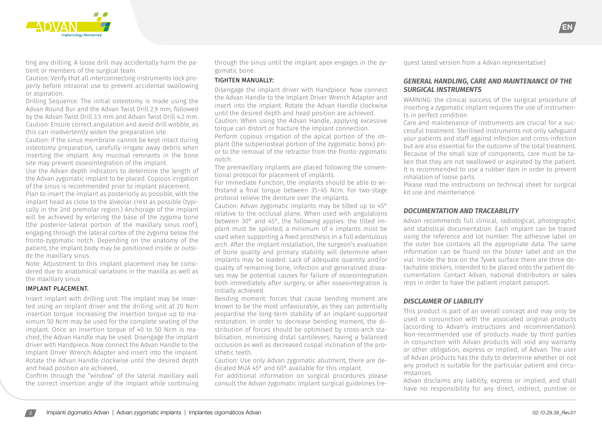

ting any drilling. A loose drill may accidentally harm the patient or members of the surgical team.

Caution: Verify that all interconnecting instruments lock properly before intraoral use to prevent accidental swallowing or aspiration.

Drilling Sequence: The initial osteotomy is made using the Advan Round Bur and the Advan Twist Drill 2.9 mm, followed by the Advan Twist Drill 3.5 mm and Advan Twist Drill 4.2 mm. Caution: Ensure correct angulation and avoid drill wobble, as this can inadvertently widen the preparation site.

Caution: If the sinus membrane cannot be kept intact during osteotomy preparation, carefully irrigate away debris when inserting the implant. Any mucosal remnants in the bone site may prevent osseointegration of the implant.

Use the Advan depth indicators to determine the length of the Advan zygomatic implant to be placed. Copious irrigation of the sinus is recommended prior to implant placement. Plan to insert the implant as posteriorly as possible, with the implant head as close to the alveolar crest as possible (typically in the 2nd premolar region.) Anchorage of the implant will be achieved by entering the base of the zygoma bone (the posterior-lateral portion of the maxillary sinus roof), engaging through the lateral cortex of the zygoma below the fronto-zygomatic notch. Depending on the anatomy of the patient, the implant body may be positioned inside or outside the maxillary sinus.

Note: Adjustment to this implant placement may be considered due to anatomical variations in the maxilla as well as the maxillary sinus

#### IMPLANT PLACEMENT.

Insert implant with drilling unit: The implant may be inserted using an implant driver and the drilling unit at 20 Ncm insertion torque. Increasing the insertion torque up to maximum 50 Ncm may be used for the complete seating of the implant. Once an insertion torque of 40 to 50 Ncm is reached, the Advan Handle may be used. Disengage the implant driver with Handpiece. Now connect the Advan Handle to the Implant Driver Wrench Adapter and insert into the implant. Rotate the Advan Handle clockwise until the desired depth and head position are achieved.

Confirm through the "window" of the lateral maxillary wall the correct insertion angle of the implant while continuing through the sinus until the implant apex engages in the zygomatic bone.

#### TIGHTEN MANUALLY:

Disengage the implant driver with Handpiece. Now connect the Advan Handle to the Implant Driver Wrench Adapter and insert into the implant. Rotate the Advan Handle clockwise until the desired depth and head position are achieved. Caution: When using the Advan Handle, applying excessive torque can distort or fracture the implant connection. Perform copious irrigation of the apical portion of the implant (the subperiosteal portion of the zygomatic bone) prior to the removal of the retractor from the fronto-zygomatic notch.

The premaxillary implants are placed following the conventional protocol for placement of implants.

For Immediate Function, the implants should be able to withstand a final torque between 35–45 Ncm. For two-stage protocol relieve the denture over the implants.

Caution: Advan zygomatic implants may be tilted up to 45° relative to the occlusal plane. When used with angulations between 30° and 45°, the following applies: the tilted implant must be splinted; a minimum of 4 implants must be used when supporting a fixed prosthesis in a full edentulous arch. After the implant installation, the surgeon's evaluation of bone quality and primary stability will determine when implants may be loaded. Lack of adequate quantity and/or quality of remaining bone, infection and generalised diseases may be potential causes for failure of osseointegration both immediately after surgery, or after osseointegration is initially achieved.

Bending moment: forces that cause bending moment are known to be the most unfavourable, as they can potentially jeopardise the long-term stability of an implant-supported restoration. In order to decrease bending moment, the distribution of forces should be optimised by cross-arch stabilisation, minimising distal cantilevers, having a balanced occlusion as well as decreased cuspal inclination of the prosthetic teeth.

Caution: Use only Advan zygomatic abutment, there are dedicated MUA 45° and 60° available for this implant.

For additional information on surgical procedures please consult the Advan zygomatic implant surgical guidelines (request latest version from a Advan representative)

## *GENERAL HANDLING, CARE AND MAINTENANCE OF THE SURGICAL INSTRUMENTS*

WARNING: the clinical success of the surgical procedure of inserting a zygomatic implant requires the use of instruments in perfect condition.

Care and maintenance of instruments are crucial for a successful treatment. Sterilised instruments not only safeguard your patients and staff against infection and cross-infection but are also essential for the outcome of the total treatment. Because of the small size of components, care must be taken that they are not swallowed or aspirated by the patient. It is recommended to use a rubber dam in order to prevent inhalation of loose parts.

Please read the instructions on technical sheet for surgical kit use and maintenance.

#### *DOCUMENTATION AND TRACEABILITY*

Advan recommends full clinical, radiological, photographic and statistical documentation. Each implant can be traced using the reference and lot number. The adhesive label on the outer box contains all the appropriate data. The same information can be found on the blister label and on the vial. Inside the box on the Tyvek surface there are three detachable stickers, intended to be placed onto the patient documentation. Contact Advan, national distributors or sales reps in order to have the patient implant passport.

#### *DISCLAIMER OF LIABILITY*

This product is part of an overall concept and may only be used in conjunction with the associated original products (according to Advan's instructions and recommendation). Non-recommended use of products made by third parties in conjunction with Advan products will void any warranty or other obligation, express or implied, of Advan. The user of Advan products has the duty to determine whether or not any product is suitable for the particular patient and circumstances.

Advan disclaims any liability, express or implied, and shall have no responsibility for any direct, indirect, punitive or

EN